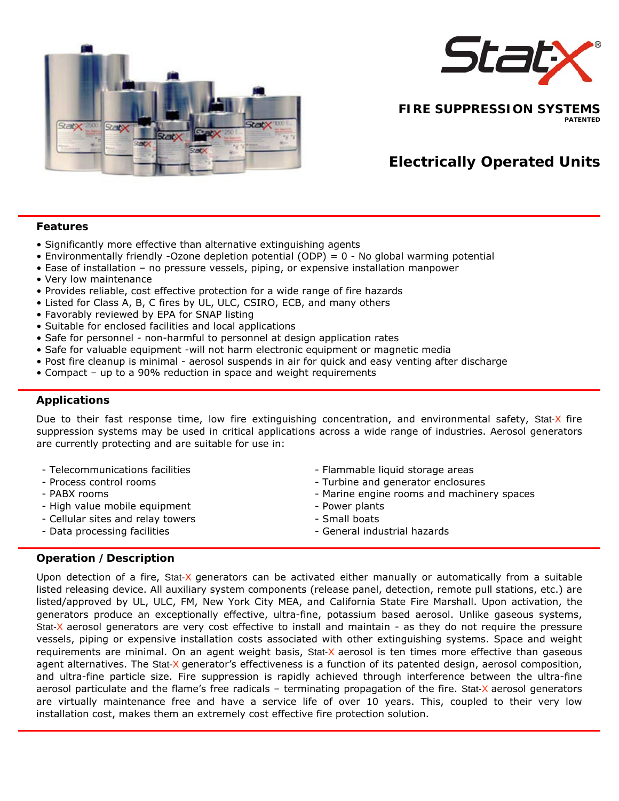

**FIRE SUPPRESSION SYSTEMS PATENTED** 

# **Electrically Operated Units**

#### **Features**

- Significantly more effective than alternative extinguishing agents
- Environmentally friendly -Ozone depletion potential (ODP) =  $0$  No global warming potential
- Ease of installation no pressure vessels, piping, or expensive installation manpower
- Very low maintenance
- Provides reliable, cost effective protection for a wide range of fire hazards
- Listed for Class A, B, C fires by UL, ULC, CSIRO, ECB, and many others
- Favorably reviewed by EPA for SNAP listing
- Suitable for enclosed facilities and local applications
- Safe for personnel non-harmful to personnel at design application rates
- Safe for valuable equipment -will not harm electronic equipment or magnetic media
- Post fire cleanup is minimal aerosol suspends in air for quick and easy venting after discharge
- Compact up to a 90% reduction in space and weight requirements

## **Applications**

Due to their fast response time, low fire extinguishing concentration, and environmental safety, Stat-X fire suppression systems may be used in critical applications across a wide range of industries. Aerosol generators are currently protecting and are suitable for use in:

- 
- 
- 
- High value mobile equipment Power plants
- Cellular sites and relay towers Small boats
- 
- Telecommunications facilities Flammable liquid storage areas
- Process control rooms and process control rooms and generator enclosures
- PABX rooms Marine engine rooms and machinery spaces
	-
	-
- Data processing facilities General industrial hazards

## **Operation /Description**

Upon detection of a fire, Stat-X generators can be activated either manually or automatically from a suitable listed releasing device. All auxiliary system components (release panel, detection, remote pull stations, etc.) are listed/approved by UL, ULC, FM, New York City MEA, and California State Fire Marshall. Upon activation, the generators produce an exceptionally effective, ultra-fine, potassium based aerosol. Unlike gaseous systems, Stat-X aerosol generators are very cost effective to install and maintain - as they do not require the pressure vessels, piping or expensive installation costs associated with other extinguishing systems. Space and weight requirements are minimal. On an agent weight basis, Stat-X aerosol is ten times more effective than gaseous agent alternatives. The Stat-X generator's effectiveness is a function of its patented design, aerosol composition, and ultra-fine particle size. Fire suppression is rapidly achieved through interference between the ultra-fine aerosol particulate and the flame's free radicals - terminating propagation of the fire. Stat-X aerosol generators are virtually maintenance free and have a service life of over 10 years. This, coupled to their very low installation cost, makes them an extremely cost effective fire protection solution.